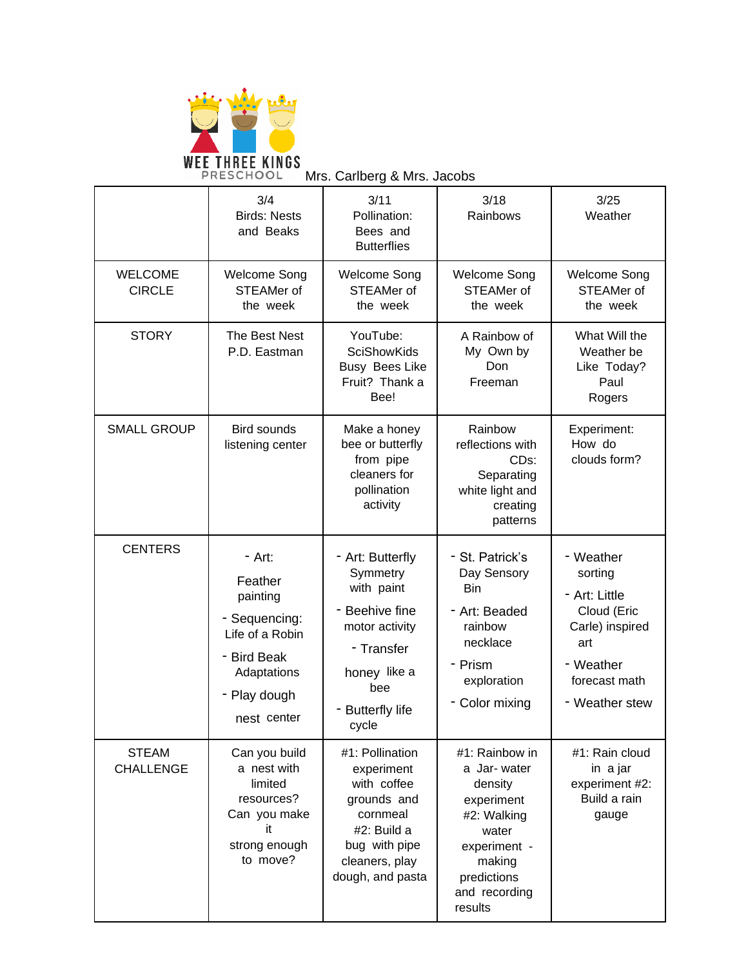

Mrs. Carlberg & Mrs. Jacobs

|                                  | 3/4<br><b>Birds: Nests</b><br>and Beaks                                                                                        | 3/11<br>Pollination:<br>Bees and<br><b>Butterflies</b>                                                                                                | 3/18<br>Rainbows                                                                                                                                    | 3/25<br>Weather                                                                                                                |
|----------------------------------|--------------------------------------------------------------------------------------------------------------------------------|-------------------------------------------------------------------------------------------------------------------------------------------------------|-----------------------------------------------------------------------------------------------------------------------------------------------------|--------------------------------------------------------------------------------------------------------------------------------|
| <b>WELCOME</b><br><b>CIRCLE</b>  | <b>Welcome Song</b><br>STEAMer of<br>the week                                                                                  | <b>Welcome Song</b><br>STEAMer of<br>the week                                                                                                         | <b>Welcome Song</b><br>STEAMer of<br>the week                                                                                                       | Welcome Song<br>STEAMer of<br>the week                                                                                         |
| <b>STORY</b>                     | The Best Nest<br>P.D. Eastman                                                                                                  | YouTube:<br><b>SciShowKids</b><br><b>Busy Bees Like</b><br>Fruit? Thank a<br>Bee!                                                                     | A Rainbow of<br>My Own by<br>Don<br>Freeman                                                                                                         | What Will the<br>Weather be<br>Like Today?<br>Paul<br>Rogers                                                                   |
| <b>SMALL GROUP</b>               | Bird sounds<br>listening center                                                                                                | Make a honey<br>bee or butterfly<br>from pipe<br>cleaners for<br>pollination<br>activity                                                              | Rainbow<br>reflections with<br>CDS:<br>Separating<br>white light and<br>creating<br>patterns                                                        | Experiment:<br>How do<br>clouds form?                                                                                          |
| <b>CENTERS</b>                   | - Art:<br>Feather<br>painting<br>- Sequencing:<br>Life of a Robin<br>- Bird Beak<br>Adaptations<br>- Play dough<br>nest center | - Art: Butterfly<br>Symmetry<br>with paint<br>- Beehive fine<br>motor activity<br>- Transfer<br>honey like a<br>bee<br><b>Butterfly life</b><br>cycle | - St. Patrick's<br>Day Sensory<br><b>Bin</b><br>- Art: Beaded<br>rainbow<br>necklace<br>- Prism<br>exploration<br>- Color mixing                    | - Weather<br>sorting<br>- Art: Little<br>Cloud (Eric<br>Carle) inspired<br>art<br>- Weather<br>forecast math<br>- Weather stew |
| <b>STEAM</b><br><b>CHALLENGE</b> | Can you build<br>a nest with<br>limited<br>resources?<br>Can you make<br>it<br>strong enough<br>to move?                       | #1: Pollination<br>experiment<br>with coffee<br>grounds and<br>cornmeal<br>#2: Build a<br>bug with pipe<br>cleaners, play<br>dough, and pasta         | #1: Rainbow in<br>a Jar-water<br>density<br>experiment<br>#2: Walking<br>water<br>experiment -<br>making<br>predictions<br>and recording<br>results | #1: Rain cloud<br>in a jar<br>experiment #2:<br>Build a rain<br>gauge                                                          |